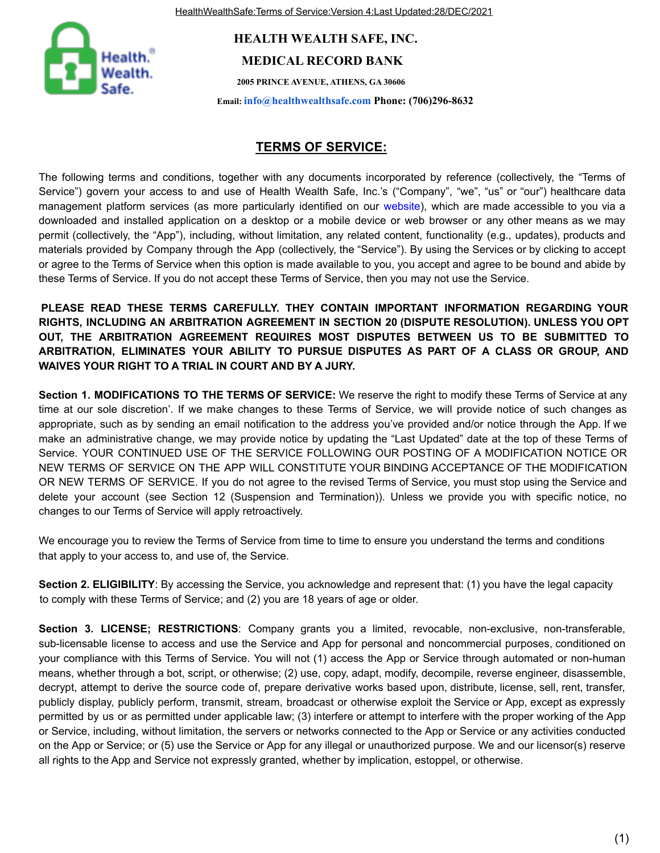HealthWealthSafe:Terms of Service:Version 4:Last Updated:28/DEC/2021



## **HEALTH WEALTH SAFE, INC. MEDICAL RECORD BANK**

**2005 PRINCE AVENUE, ATHENS, GA 30606**

**Email: info@healthwealthsafe.com Phone: (706)296-8632**

## **TERMS OF SERVICE:**

The following terms and conditions, together with any documents incorporated by reference (collectively, the "Terms of Service") govern your access to and use of Health Wealth Safe, Inc.'s ("Company", "we", "us" or "our") healthcare data management platform services (as more particularly identified on our website), which are made accessible to you via a downloaded and installed application on a desktop or a mobile device or web browser or any other means as we may permit (collectively, the "App"), including, without limitation, any related content, functionality (e.g., updates), products and materials provided by Company through the App (collectively, the "Service"). By using the Services or by clicking to accept or agree to the Terms of Service when this option is made available to you, you accept and agree to be bound and abide by these Terms of Service. If you do not accept these Terms of Service, then you may not use the Service.

**PLEASE READ THESE TERMS CAREFULLY. THEY CONTAIN IMPORTANT INFORMATION REGARDING YOUR RIGHTS, INCLUDING AN ARBITRATION AGREEMENT IN SECTION 20 (DISPUTE RESOLUTION). UNLESS YOU OPT OUT, THE ARBITRATION AGREEMENT REQUIRES MOST DISPUTES BETWEEN US TO BE SUBMITTED TO ARBITRATION, ELIMINATES YOUR ABILITY TO PURSUE DISPUTES AS PART OF A CLASS OR GROUP, AND WAIVES YOUR RIGHT TO A TRIAL IN COURT AND BY A JURY.**

**Section 1. MODIFICATIONS TO THE TERMS OF SERVICE:** We reserve the right to modify these Terms of Service at any time at our sole discretion'. If we make changes to these Terms of Service, we will provide notice of such changes as appropriate, such as by sending an email notification to the address you've provided and/or notice through the App. If we make an administrative change, we may provide notice by updating the "Last Updated" date at the top of these Terms of Service. YOUR CONTINUED USE OF THE SERVICE FOLLOWING OUR POSTING OF A MODIFICATION NOTICE OR NEW TERMS OF SERVICE ON THE APP WILL CONSTITUTE YOUR BINDING ACCEPTANCE OF THE MODIFICATION OR NEW TERMS OF SERVICE. If you do not agree to the revised Terms of Service, you must stop using the Service and delete your account (see Section 12 (Suspension and Termination)). Unless we provide you with specific notice, no changes to our Terms of Service will apply retroactively.

We encourage you to review the Terms of Service from time to time to ensure you understand the terms and conditions that apply to your access to, and use of, the Service.

**Section 2. ELIGIBILITY**: By accessing the Service, you acknowledge and represent that: (1) you have the legal capacity to comply with these Terms of Service; and (2) you are 18 years of age or older.

**Section 3. LICENSE; RESTRICTIONS**: Company grants you a limited, revocable, non-exclusive, non-transferable, sub-licensable license to access and use the Service and App for personal and noncommercial purposes, conditioned on your compliance with this Terms of Service. You will not (1) access the App or Service through automated or non-human means, whether through a bot, script, or otherwise; (2) use, copy, adapt, modify, decompile, reverse engineer, disassemble, decrypt, attempt to derive the source code of, prepare derivative works based upon, distribute, license, sell, rent, transfer, publicly display, publicly perform, transmit, stream, broadcast or otherwise exploit the Service or App, except as expressly permitted by us or as permitted under applicable law; (3) interfere or attempt to interfere with the proper working of the App or Service, including, without limitation, the servers or networks connected to the App or Service or any activities conducted on the App or Service; or (5) use the Service or App for any illegal or unauthorized purpose. We and our licensor(s) reserve all rights to the App and Service not expressly granted, whether by implication, estoppel, or otherwise.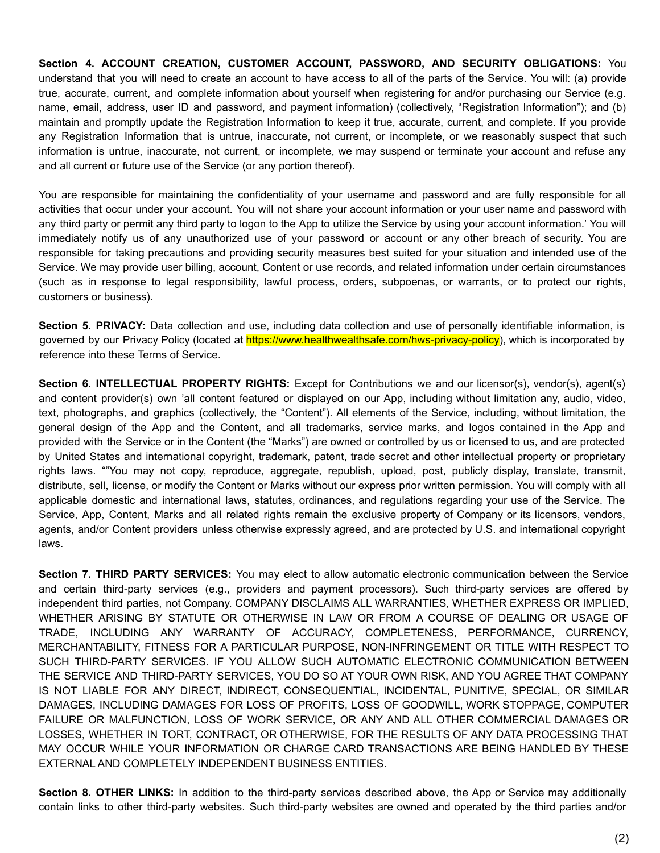**Section 4. ACCOUNT CREATION, CUSTOMER ACCOUNT, PASSWORD, AND SECURITY OBLIGATIONS:** You understand that you will need to create an account to have access to all of the parts of the Service. You will: (a) provide true, accurate, current, and complete information about yourself when registering for and/or purchasing our Service (e.g. name, email, address, user ID and password, and payment information) (collectively, "Registration Information"); and (b) maintain and promptly update the Registration Information to keep it true, accurate, current, and complete. If you provide any Registration Information that is untrue, inaccurate, not current, or incomplete, or we reasonably suspect that such information is untrue, inaccurate, not current, or incomplete, we may suspend or terminate your account and refuse any and all current or future use of the Service (or any portion thereof).

You are responsible for maintaining the confidentiality of your username and password and are fully responsible for all activities that occur under your account. You will not share your account information or your user name and password with any third party or permit any third party to logon to the App to utilize the Service by using your account information.' You will immediately notify us of any unauthorized use of your password or account or any other breach of security. You are responsible for taking precautions and providing security measures best suited for your situation and intended use of the Service. We may provide user billing, account, Content or use records, and related information under certain circumstances (such as in response to legal responsibility, lawful process, orders, subpoenas, or warrants, or to protect our rights, customers or business).

**Section 5. PRIVACY:** Data collection and use, including data collection and use of personally identifiable information, is governed by our Privacy Policy (located at https://www.healthwealthsafe.com/hws-privacy-policy), which is incorporated by reference into these Terms of Service.

**Section 6. INTELLECTUAL PROPERTY RIGHTS:** Except for Contributions we and our licensor(s), vendor(s), agent(s) and content provider(s) own 'all content featured or displayed on our App, including without limitation any, audio, video, text, photographs, and graphics (collectively, the "Content"). All elements of the Service, including, without limitation, the general design of the App and the Content, and all trademarks, service marks, and logos contained in the App and provided with the Service or in the Content (the "Marks") are owned or controlled by us or licensed to us, and are protected by United States and international copyright, trademark, patent, trade secret and other intellectual property or proprietary rights laws. ""You may not copy, reproduce, aggregate, republish, upload, post, publicly display, translate, transmit, distribute, sell, license, or modify the Content or Marks without our express prior written permission. You will comply with all applicable domestic and international laws, statutes, ordinances, and regulations regarding your use of the Service. The Service, App, Content, Marks and all related rights remain the exclusive property of Company or its licensors, vendors, agents, and/or Content providers unless otherwise expressly agreed, and are protected by U.S. and international copyright laws.

**Section 7. THIRD PARTY SERVICES:** You may elect to allow automatic electronic communication between the Service and certain third-party services (e.g., providers and payment processors). Such third-party services are offered by independent third parties, not Company. COMPANY DISCLAIMS ALL WARRANTIES, WHETHER EXPRESS OR IMPLIED, WHETHER ARISING BY STATUTE OR OTHERWISE IN LAW OR FROM A COURSE OF DEALING OR USAGE OF TRADE, INCLUDING ANY WARRANTY OF ACCURACY, COMPLETENESS, PERFORMANCE, CURRENCY, MERCHANTABILITY, FITNESS FOR A PARTICULAR PURPOSE, NON-INFRINGEMENT OR TITLE WITH RESPECT TO SUCH THIRD-PARTY SERVICES. IF YOU ALLOW SUCH AUTOMATIC ELECTRONIC COMMUNICATION BETWEEN THE SERVICE AND THIRD-PARTY SERVICES, YOU DO SO AT YOUR OWN RISK, AND YOU AGREE THAT COMPANY IS NOT LIABLE FOR ANY DIRECT, INDIRECT, CONSEQUENTIAL, INCIDENTAL, PUNITIVE, SPECIAL, OR SIMILAR DAMAGES, INCLUDING DAMAGES FOR LOSS OF PROFITS, LOSS OF GOODWILL, WORK STOPPAGE, COMPUTER FAILURE OR MALFUNCTION, LOSS OF WORK SERVICE, OR ANY AND ALL OTHER COMMERCIAL DAMAGES OR LOSSES, WHETHER IN TORT, CONTRACT, OR OTHERWISE, FOR THE RESULTS OF ANY DATA PROCESSING THAT MAY OCCUR WHILE YOUR INFORMATION OR CHARGE CARD TRANSACTIONS ARE BEING HANDLED BY THESE EXTERNAL AND COMPLETELY INDEPENDENT BUSINESS ENTITIES.

**Section 8. OTHER LINKS:** In addition to the third-party services described above, the App or Service may additionally contain links to other third-party websites. Such third-party websites are owned and operated by the third parties and/or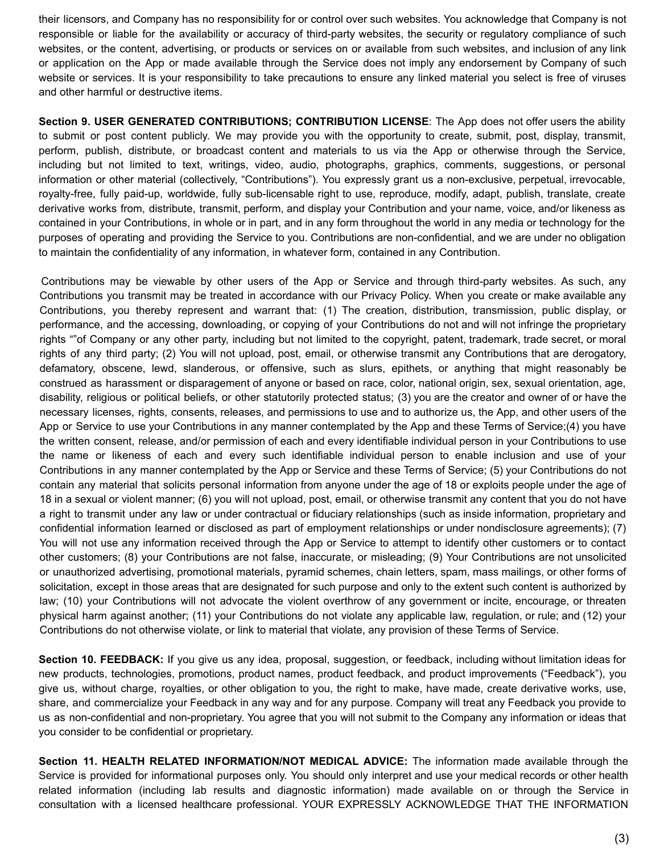their licensors, and Company has no responsibility for or control over such websites. You acknowledge that Company is not responsible or liable for the availability or accuracy of third-party websites, the security or regulatory compliance of such websites, or the content, advertising, or products or services on or available from such websites, and inclusion of any link or application on the App or made available through the Service does not imply any endorsement by Company of such website or services. It is your responsibility to take precautions to ensure any linked material you select is free of viruses and other harmful or destructive items.

**Section 9. USER GENERATED CONTRIBUTIONS; CONTRIBUTION LICENSE**: The App does not offer users the ability to submit or post content publicly. We may provide you with the opportunity to create, submit, post, display, transmit, perform, publish, distribute, or broadcast content and materials to us via the App or otherwise through the Service, including but not limited to text, writings, video, audio, photographs, graphics, comments, suggestions, or personal information or other material (collectively, "Contributions"). You expressly grant us a non-exclusive, perpetual, irrevocable, royalty-free, fully paid-up, worldwide, fully sub-licensable right to use, reproduce, modify, adapt, publish, translate, create derivative works from, distribute, transmit, perform, and display your Contribution and your name, voice, and/or likeness as contained in your Contributions, in whole or in part, and in any form throughout the world in any media or technology for the purposes of operating and providing the Service to you. Contributions are non-confidential, and we are under no obligation to maintain the confidentiality of any information, in whatever form, contained in any Contribution.

Contributions may be viewable by other users of the App or Service and through third-party websites. As such, any Contributions you transmit may be treated in accordance with our Privacy Policy. When you create or make available any Contributions, you thereby represent and warrant that: (1) The creation, distribution, transmission, public display, or performance, and the accessing, downloading, or copying of your Contributions do not and will not infringe the proprietary rights ""of Company or any other party, including but not limited to the copyright, patent, trademark, trade secret, or moral rights of any third party; (2) You will not upload, post, email, or otherwise transmit any Contributions that are derogatory, defamatory, obscene, lewd, slanderous, or offensive, such as slurs, epithets, or anything that might reasonably be construed as harassment or disparagement of anyone or based on race, color, national origin, sex, sexual orientation, age, disability, religious or political beliefs, or other statutorily protected status; (3) you are the creator and owner of or have the necessary licenses, rights, consents, releases, and permissions to use and to authorize us, the App, and other users of the App or Service to use your Contributions in any manner contemplated by the App and these Terms of Service;(4) you have the written consent, release, and/or permission of each and every identifiable individual person in your Contributions to use the name or likeness of each and every such identifiable individual person to enable inclusion and use of your Contributions in any manner contemplated by the App or Service and these Terms of Service; (5) your Contributions do not contain any material that solicits personal information from anyone under the age of 18 or exploits people under the age of 18 in a sexual or violent manner; (6) you will not upload, post, email, or otherwise transmit any content that you do not have a right to transmit under any law or under contractual or fiduciary relationships (such as inside information, proprietary and confidential information learned or disclosed as part of employment relationships or under nondisclosure agreements); (7) You will not use any information received through the App or Service to attempt to identify other customers or to contact other customers; (8) your Contributions are not false, inaccurate, or misleading; (9) Your Contributions are not unsolicited or unauthorized advertising, promotional materials, pyramid schemes, chain letters, spam, mass mailings, or other forms of solicitation, except in those areas that are designated for such purpose and only to the extent such content is authorized by law; (10) your Contributions will not advocate the violent overthrow of any government or incite, encourage, or threaten physical harm against another; (11) your Contributions do not violate any applicable law, regulation, or rule; and (12) your Contributions do not otherwise violate, or link to material that violate, any provision of these Terms of Service.

**Section 10. FEEDBACK:** If you give us any idea, proposal, suggestion, or feedback, including without limitation ideas for new products, technologies, promotions, product names, product feedback, and product improvements ("Feedback"), you give us, without charge, royalties, or other obligation to you, the right to make, have made, create derivative works, use, share, and commercialize your Feedback in any way and for any purpose. Company will treat any Feedback you provide to us as non-confidential and non-proprietary. You agree that you will not submit to the Company any information or ideas that you consider to be confidential or proprietary.

**Section 11. HEALTH RELATED INFORMATION/NOT MEDICAL ADVICE:** The information made available through the Service is provided for informational purposes only. You should only interpret and use your medical records or other health related information (including lab results and diagnostic information) made available on or through the Service in consultation with a licensed healthcare professional. YOUR EXPRESSLY ACKNOWLEDGE THAT THE INFORMATION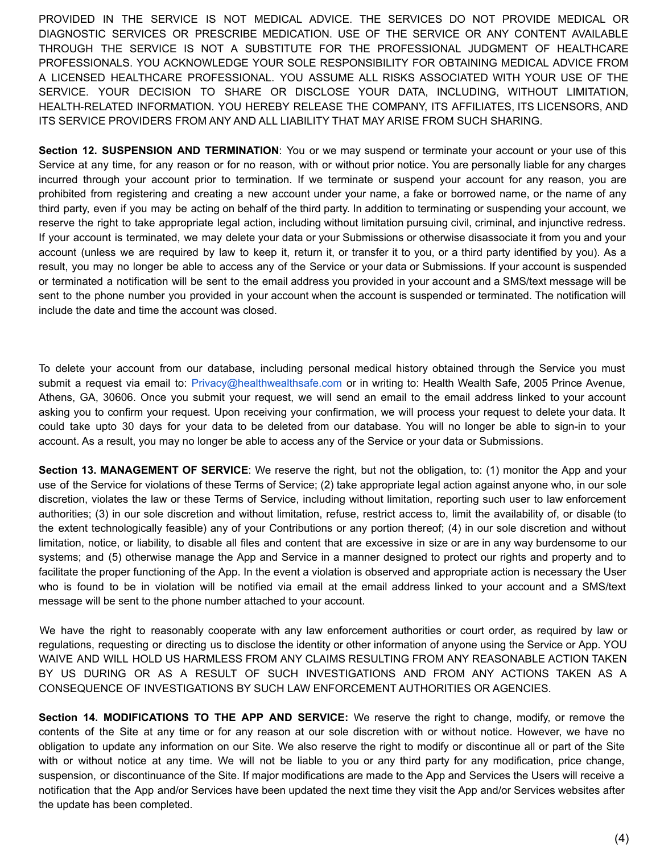PROVIDED IN THE SERVICE IS NOT MEDICAL ADVICE. THE SERVICES DO NOT PROVIDE MEDICAL OR DIAGNOSTIC SERVICES OR PRESCRIBE MEDICATION. USE OF THE SERVICE OR ANY CONTENT AVAILABLE THROUGH THE SERVICE IS NOT A SUBSTITUTE FOR THE PROFESSIONAL JUDGMENT OF HEALTHCARE PROFESSIONALS. YOU ACKNOWLEDGE YOUR SOLE RESPONSIBILITY FOR OBTAINING MEDICAL ADVICE FROM A LICENSED HEALTHCARE PROFESSIONAL. YOU ASSUME ALL RISKS ASSOCIATED WITH YOUR USE OF THE SERVICE. YOUR DECISION TO SHARE OR DISCLOSE YOUR DATA, INCLUDING, WITHOUT LIMITATION, HEALTH-RELATED INFORMATION. YOU HEREBY RELEASE THE COMPANY, ITS AFFILIATES, ITS LICENSORS, AND ITS SERVICE PROVIDERS FROM ANY AND ALL LIABILITY THAT MAY ARISE FROM SUCH SHARING.

**Section 12. SUSPENSION AND TERMINATION**: You or we may suspend or terminate your account or your use of this Service at any time, for any reason or for no reason, with or without prior notice. You are personally liable for any charges incurred through your account prior to termination. If we terminate or suspend your account for any reason, you are prohibited from registering and creating a new account under your name, a fake or borrowed name, or the name of any third party, even if you may be acting on behalf of the third party. In addition to terminating or suspending your account, we reserve the right to take appropriate legal action, including without limitation pursuing civil, criminal, and injunctive redress. If your account is terminated, we may delete your data or your Submissions or otherwise disassociate it from you and your account (unless we are required by law to keep it, return it, or transfer it to you, or a third party identified by you). As a result, you may no longer be able to access any of the Service or your data or Submissions. If your account is suspended or terminated a notification will be sent to the email address you provided in your account and a SMS/text message will be sent to the phone number you provided in your account when the account is suspended or terminated. The notification will include the date and time the account was closed.

To delete your account from our database, including personal medical history obtained through the Service you must submit a request via email to: Privacy@healthwealthsafe.com or in writing to: Health Wealth Safe, 2005 Prince Avenue, Athens, GA, 30606. Once you submit your request, we will send an email to the email address linked to your account asking you to confirm your request. Upon receiving your confirmation, we will process your request to delete your data. It could take upto 30 days for your data to be deleted from our database. You will no longer be able to sign-in to your account. As a result, you may no longer be able to access any of the Service or your data or Submissions.

**Section 13. MANAGEMENT OF SERVICE**: We reserve the right, but not the obligation, to: (1) monitor the App and your use of the Service for violations of these Terms of Service; (2) take appropriate legal action against anyone who, in our sole discretion, violates the law or these Terms of Service, including without limitation, reporting such user to law enforcement authorities; (3) in our sole discretion and without limitation, refuse, restrict access to, limit the availability of, or disable (to the extent technologically feasible) any of your Contributions or any portion thereof; (4) in our sole discretion and without limitation, notice, or liability, to disable all files and content that are excessive in size or are in any way burdensome to our systems; and (5) otherwise manage the App and Service in a manner designed to protect our rights and property and to facilitate the proper functioning of the App. In the event a violation is observed and appropriate action is necessary the User who is found to be in violation will be notified via email at the email address linked to your account and a SMS/text message will be sent to the phone number attached to your account.

We have the right to reasonably cooperate with any law enforcement authorities or court order, as required by law or regulations, requesting or directing us to disclose the identity or other information of anyone using the Service or App. YOU WAIVE AND WILL HOLD US HARMLESS FROM ANY CLAIMS RESULTING FROM ANY REASONABLE ACTION TAKEN BY US DURING OR AS A RESULT OF SUCH INVESTIGATIONS AND FROM ANY ACTIONS TAKEN AS A CONSEQUENCE OF INVESTIGATIONS BY SUCH LAW ENFORCEMENT AUTHORITIES OR AGENCIES.

**Section 14. MODIFICATIONS TO THE APP AND SERVICE:** We reserve the right to change, modify, or remove the contents of the Site at any time or for any reason at our sole discretion with or without notice. However, we have no obligation to update any information on our Site. We also reserve the right to modify or discontinue all or part of the Site with or without notice at any time. We will not be liable to you or any third party for any modification, price change, suspension, or discontinuance of the Site. If major modifications are made to the App and Services the Users will receive a notification that the App and/or Services have been updated the next time they visit the App and/or Services websites after the update has been completed.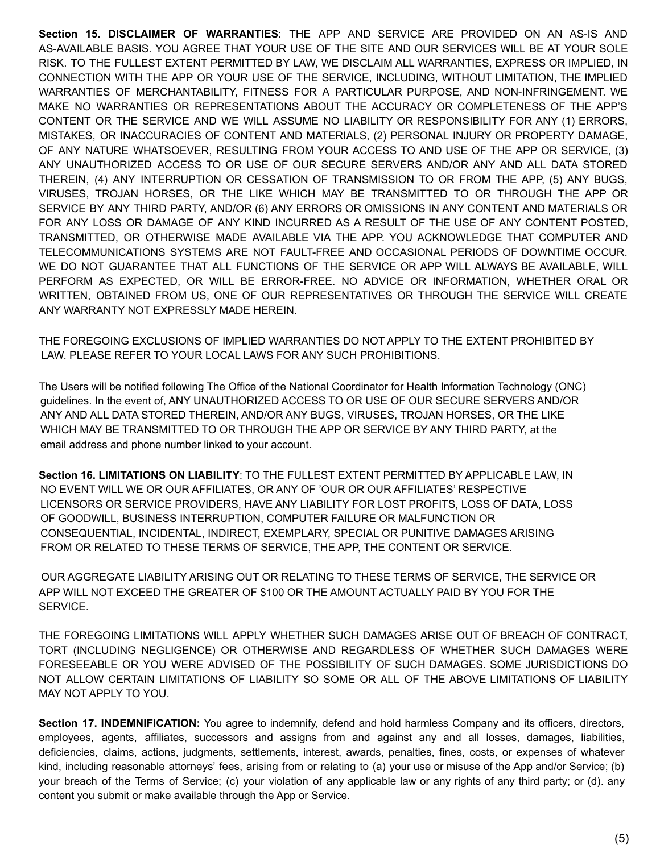**Section 15. DISCLAIMER OF WARRANTIES**: THE APP AND SERVICE ARE PROVIDED ON AN AS-IS AND AS-AVAILABLE BASIS. YOU AGREE THAT YOUR USE OF THE SITE AND OUR SERVICES WILL BE AT YOUR SOLE RISK. TO THE FULLEST EXTENT PERMITTED BY LAW, WE DISCLAIM ALL WARRANTIES, EXPRESS OR IMPLIED, IN CONNECTION WITH THE APP OR YOUR USE OF THE SERVICE, INCLUDING, WITHOUT LIMITATION, THE IMPLIED WARRANTIES OF MERCHANTABILITY, FITNESS FOR A PARTICULAR PURPOSE, AND NON-INFRINGEMENT. WE MAKE NO WARRANTIES OR REPRESENTATIONS ABOUT THE ACCURACY OR COMPLETENESS OF THE APP'S CONTENT OR THE SERVICE AND WE WILL ASSUME NO LIABILITY OR RESPONSIBILITY FOR ANY (1) ERRORS, MISTAKES, OR INACCURACIES OF CONTENT AND MATERIALS, (2) PERSONAL INJURY OR PROPERTY DAMAGE, OF ANY NATURE WHATSOEVER, RESULTING FROM YOUR ACCESS TO AND USE OF THE APP OR SERVICE, (3) ANY UNAUTHORIZED ACCESS TO OR USE OF OUR SECURE SERVERS AND/OR ANY AND ALL DATA STORED THEREIN, (4) ANY INTERRUPTION OR CESSATION OF TRANSMISSION TO OR FROM THE APP, (5) ANY BUGS, VIRUSES, TROJAN HORSES, OR THE LIKE WHICH MAY BE TRANSMITTED TO OR THROUGH THE APP OR SERVICE BY ANY THIRD PARTY, AND/OR (6) ANY ERRORS OR OMISSIONS IN ANY CONTENT AND MATERIALS OR FOR ANY LOSS OR DAMAGE OF ANY KIND INCURRED AS A RESULT OF THE USE OF ANY CONTENT POSTED, TRANSMITTED, OR OTHERWISE MADE AVAILABLE VIA THE APP. YOU ACKNOWLEDGE THAT COMPUTER AND TELECOMMUNICATIONS SYSTEMS ARE NOT FAULT-FREE AND OCCASIONAL PERIODS OF DOWNTIME OCCUR. WE DO NOT GUARANTEE THAT ALL FUNCTIONS OF THE SERVICE OR APP WILL ALWAYS BE AVAILABLE, WILL PERFORM AS EXPECTED, OR WILL BE ERROR-FREE. NO ADVICE OR INFORMATION, WHETHER ORAL OR WRITTEN, OBTAINED FROM US, ONE OF OUR REPRESENTATIVES OR THROUGH THE SERVICE WILL CREATE ANY WARRANTY NOT EXPRESSLY MADE HEREIN.

THE FOREGOING EXCLUSIONS OF IMPLIED WARRANTIES DO NOT APPLY TO THE EXTENT PROHIBITED BY LAW. PLEASE REFER TO YOUR LOCAL LAWS FOR ANY SUCH PROHIBITIONS.

The Users will be notified following The Office of the National Coordinator for Health Information Technology (ONC) guidelines. In the event of, ANY UNAUTHORIZED ACCESS TO OR USE OF OUR SECURE SERVERS AND/OR ANY AND ALL DATA STORED THEREIN, AND/OR ANY BUGS, VIRUSES, TROJAN HORSES, OR THE LIKE WHICH MAY BE TRANSMITTED TO OR THROUGH THE APP OR SERVICE BY ANY THIRD PARTY, at the email address and phone number linked to your account.

**Section 16. LIMITATIONS ON LIABILITY**: TO THE FULLEST EXTENT PERMITTED BY APPLICABLE LAW, IN NO EVENT WILL WE OR OUR AFFILIATES, OR ANY OF 'OUR OR OUR AFFILIATES' RESPECTIVE LICENSORS OR SERVICE PROVIDERS, HAVE ANY LIABILITY FOR LOST PROFITS, LOSS OF DATA, LOSS OF GOODWILL, BUSINESS INTERRUPTION, COMPUTER FAILURE OR MALFUNCTION OR CONSEQUENTIAL, INCIDENTAL, INDIRECT, EXEMPLARY, SPECIAL OR PUNITIVE DAMAGES ARISING FROM OR RELATED TO THESE TERMS OF SERVICE, THE APP, THE CONTENT OR SERVICE.

OUR AGGREGATE LIABILITY ARISING OUT OR RELATING TO THESE TERMS OF SERVICE, THE SERVICE OR APP WILL NOT EXCEED THE GREATER OF \$100 OR THE AMOUNT ACTUALLY PAID BY YOU FOR THE SERVICE.

THE FOREGOING LIMITATIONS WILL APPLY WHETHER SUCH DAMAGES ARISE OUT OF BREACH OF CONTRACT, TORT (INCLUDING NEGLIGENCE) OR OTHERWISE AND REGARDLESS OF WHETHER SUCH DAMAGES WERE FORESEEABLE OR YOU WERE ADVISED OF THE POSSIBILITY OF SUCH DAMAGES. SOME JURISDICTIONS DO NOT ALLOW CERTAIN LIMITATIONS OF LIABILITY SO SOME OR ALL OF THE ABOVE LIMITATIONS OF LIABILITY MAY NOT APPLY TO YOU.

**Section 17. INDEMNIFICATION:** You agree to indemnify, defend and hold harmless Company and its officers, directors, employees, agents, affiliates, successors and assigns from and against any and all losses, damages, liabilities, deficiencies, claims, actions, judgments, settlements, interest, awards, penalties, fines, costs, or expenses of whatever kind, including reasonable attorneys' fees, arising from or relating to (a) your use or misuse of the App and/or Service; (b) your breach of the Terms of Service; (c) your violation of any applicable law or any rights of any third party; or (d). any content you submit or make available through the App or Service.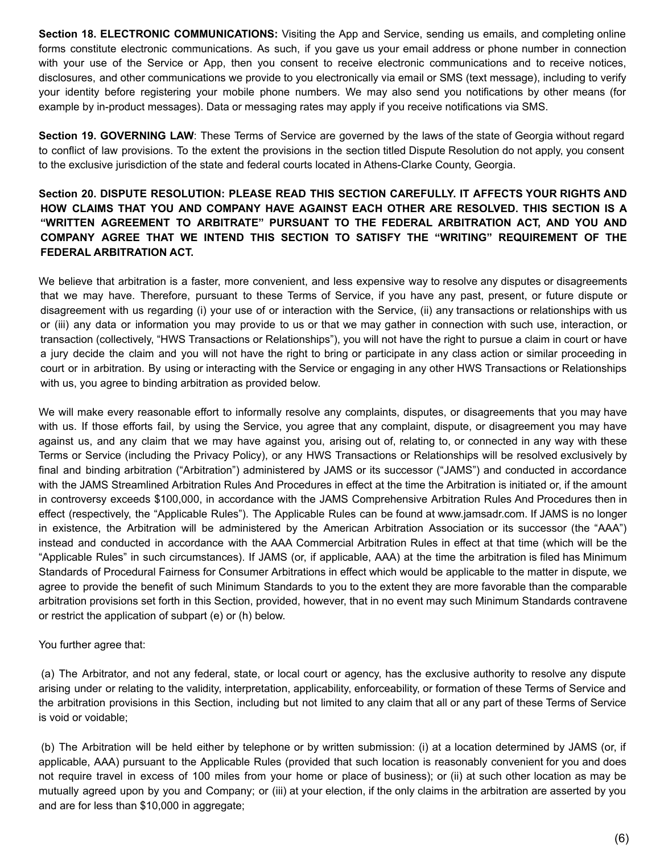**Section 18. ELECTRONIC COMMUNICATIONS:** Visiting the App and Service, sending us emails, and completing online forms constitute electronic communications. As such, if you gave us your email address or phone number in connection with your use of the Service or App, then you consent to receive electronic communications and to receive notices, disclosures, and other communications we provide to you electronically via email or SMS (text message), including to verify your identity before registering your mobile phone numbers. We may also send you notifications by other means (for example by in-product messages). Data or messaging rates may apply if you receive notifications via SMS.

**Section 19. GOVERNING LAW**: These Terms of Service are governed by the laws of the state of Georgia without regard to conflict of law provisions. To the extent the provisions in the section titled Dispute Resolution do not apply, you consent to the exclusive jurisdiction of the state and federal courts located in Athens-Clarke County, Georgia.

## **Section 20. DISPUTE RESOLUTION: PLEASE READ THIS SECTION CAREFULLY. IT AFFECTS YOUR RIGHTS AND HOW CLAIMS THAT YOU AND COMPANY HAVE AGAINST EACH OTHER ARE RESOLVED. THIS SECTION IS A "WRITTEN AGREEMENT TO ARBITRATE" PURSUANT TO THE FEDERAL ARBITRATION ACT, AND YOU AND COMPANY AGREE THAT WE INTEND THIS SECTION TO SATISFY THE "WRITING" REQUIREMENT OF THE FEDERAL ARBITRATION ACT.**

We believe that arbitration is a faster, more convenient, and less expensive way to resolve any disputes or disagreements that we may have. Therefore, pursuant to these Terms of Service, if you have any past, present, or future dispute or disagreement with us regarding (i) your use of or interaction with the Service, (ii) any transactions or relationships with us or (iii) any data or information you may provide to us or that we may gather in connection with such use, interaction, or transaction (collectively, "HWS Transactions or Relationships"), you will not have the right to pursue a claim in court or have a jury decide the claim and you will not have the right to bring or participate in any class action or similar proceeding in court or in arbitration. By using or interacting with the Service or engaging in any other HWS Transactions or Relationships with us, you agree to binding arbitration as provided below.

We will make every reasonable effort to informally resolve any complaints, disputes, or disagreements that you may have with us. If those efforts fail, by using the Service, you agree that any complaint, dispute, or disagreement you may have against us, and any claim that we may have against you, arising out of, relating to, or connected in any way with these Terms or Service (including the Privacy Policy), or any HWS Transactions or Relationships will be resolved exclusively by final and binding arbitration ("Arbitration") administered by JAMS or its successor ("JAMS") and conducted in accordance with the JAMS Streamlined Arbitration Rules And Procedures in effect at the time the Arbitration is initiated or, if the amount in controversy exceeds \$100,000, in accordance with the JAMS Comprehensive Arbitration Rules And Procedures then in effect (respectively, the "Applicable Rules"). The Applicable Rules can be found at www.jamsadr.com. If JAMS is no longer in existence, the Arbitration will be administered by the American Arbitration Association or its successor (the "AAA") instead and conducted in accordance with the AAA Commercial Arbitration Rules in effect at that time (which will be the "Applicable Rules" in such circumstances). If JAMS (or, if applicable, AAA) at the time the arbitration is filed has Minimum Standards of Procedural Fairness for Consumer Arbitrations in effect which would be applicable to the matter in dispute, we agree to provide the benefit of such Minimum Standards to you to the extent they are more favorable than the comparable arbitration provisions set forth in this Section, provided, however, that in no event may such Minimum Standards contravene or restrict the application of subpart (e) or (h) below.

You further agree that:

(a) The Arbitrator, and not any federal, state, or local court or agency, has the exclusive authority to resolve any dispute arising under or relating to the validity, interpretation, applicability, enforceability, or formation of these Terms of Service and the arbitration provisions in this Section, including but not limited to any claim that all or any part of these Terms of Service is void or voidable;

(b) The Arbitration will be held either by telephone or by written submission: (i) at a location determined by JAMS (or, if applicable, AAA) pursuant to the Applicable Rules (provided that such location is reasonably convenient for you and does not require travel in excess of 100 miles from your home or place of business); or (ii) at such other location as may be mutually agreed upon by you and Company; or (iii) at your election, if the only claims in the arbitration are asserted by you and are for less than \$10,000 in aggregate;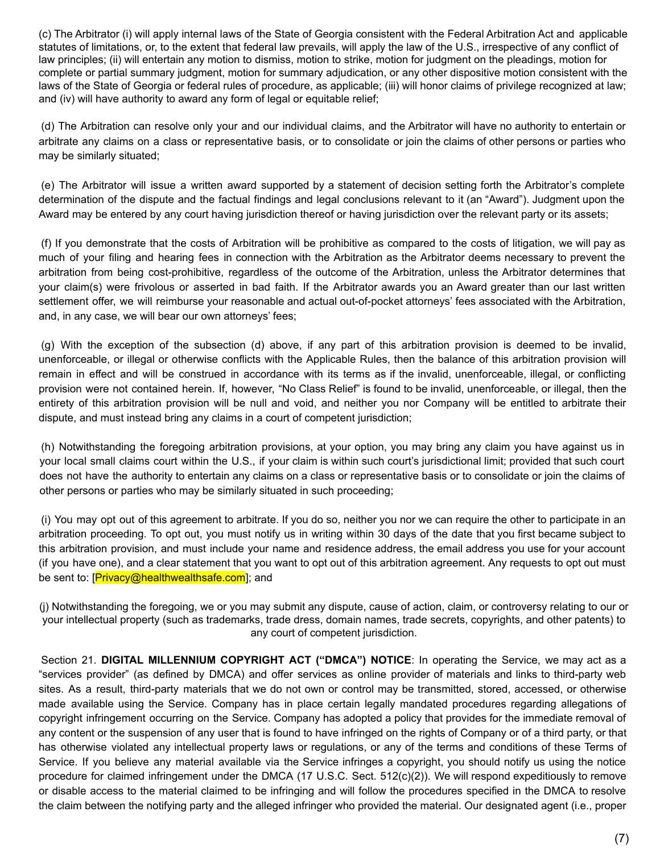(c) The Arbitrator (i) will apply internal laws of the State of Georgia consistent with the Federal Arbitration Act and applicable statutes of limitations, or, to the extent that federal law prevails, will apply the law of the U.S., irrespective of any conflict of law principles; (ii) will entertain any motion to dismiss, motion to strike, motion for judgment on the pleadings, motion for complete or partial summary judgment, motion for summary adjudication, or any other dispositive motion consistent with the laws of the State of Georgia or federal rules of procedure, as applicable; (iii) will honor claims of privilege recognized at law; and (iv) will have authority to award any form of legal or equitable relief;

(d) The Arbitration can resolve only your and our individual claims, and the Arbitrator will have no authority to entertain or arbitrate any claims on a class or representative basis, or to consolidate or join the claims of other persons or parties who may be similarly situated;

(e) The Arbitrator will issue a written award supported by a statement of decision setting forth the Arbitrator's complete determination of the dispute and the factual findings and legal conclusions relevant to it (an "Award"). Judgment upon the Award may be entered by any court having jurisdiction thereof or having jurisdiction over the relevant party or its assets;

(f) If you demonstrate that the costs of Arbitration will be prohibitive as compared to the costs of litigation, we will pay as much of your filing and hearing fees in connection with the Arbitration as the Arbitrator deems necessary to prevent the arbitration from being cost-prohibitive, regardless of the outcome of the Arbitration, unless the Arbitrator determines that your claim(s) were frivolous or asserted in bad faith. If the Arbitrator awards you an Award greater than our last written settlement offer, we will reimburse your reasonable and actual out-of-pocket attorneys' fees associated with the Arbitration, and, in any case, we will bear our own attorneys' fees;

(g) With the exception of the subsection (d) above, if any part of this arbitration provision is deemed to be invalid, unenforceable, or illegal or otherwise conflicts with the Applicable Rules, then the balance of this arbitration provision will remain in effect and will be construed in accordance with its terms as if the invalid, unenforceable, illegal, or conflicting provision were not contained herein. If, however, "No Class Relief" is found to be invalid, unenforceable, or illegal, then the entirety of this arbitration provision will be null and void, and neither you nor Company will be entitled to arbitrate their dispute, and must instead bring any claims in a court of competent jurisdiction;

(h) Notwithstanding the foregoing arbitration provisions, at your option, you may bring any claim you have against us in your local small claims court within the U.S., if your claim is within such court's jurisdictional limit; provided that such court does not have the authority to entertain any claims on a class or representative basis or to consolidate or join the claims of other persons or parties who may be similarly situated in such proceeding;

(i) You may opt out of this agreement to arbitrate. If you do so, neither you nor we can require the other to participate in an arbitration proceeding. To opt out, you must notify us in writing within 30 days of the date that you first became subject to this arbitration provision, and must include your name and residence address, the email address you use for your account (if you have one), and a clear statement that you want to opt out of this arbitration agreement. Any requests to opt out must be sent to: [Privacy@healthwealthsafe.com]; and

(j) Notwithstanding the foregoing, we or you may submit any dispute, cause of action, claim, or controversy relating to our or your intellectual property (such as trademarks, trade dress, domain names, trade secrets, copyrights, and other patents) to any court of competent jurisdiction.

Section 21. **DIGITAL MILLENNIUM COPYRIGHT ACT ("DMCA") NOTICE**: In operating the Service, we may act as a "services provider" (as defined by DMCA) and offer services as online provider of materials and links to third-party web sites. As a result, third-party materials that we do not own or control may be transmitted, stored, accessed, or otherwise made available using the Service. Company has in place certain legally mandated procedures regarding allegations of copyright infringement occurring on the Service. Company has adopted a policy that provides for the immediate removal of any content or the suspension of any user that is found to have infringed on the rights of Company or of a third party, or that has otherwise violated any intellectual property laws or regulations, or any of the terms and conditions of these Terms of Service. If you believe any material available via the Service infringes a copyright, you should notify us using the notice procedure for claimed infringement under the DMCA (17 U.S.C. Sect. 512(c)(2)). We will respond expeditiously to remove or disable access to the material claimed to be infringing and will follow the procedures specified in the DMCA to resolve the claim between the notifying party and the alleged infringer who provided the material. Our designated agent (i.e., proper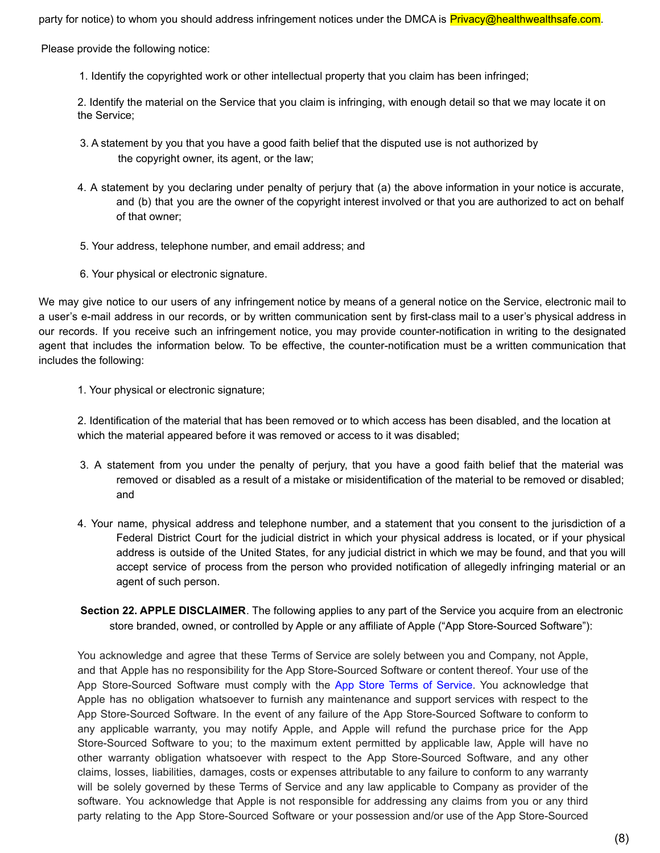party for notice) to whom you should address infringement notices under the DMCA is **Privacy@healthwealthsafe.com**.

Please provide the following notice:

1. Identify the copyrighted work or other intellectual property that you claim has been infringed;

2. Identify the material on the Service that you claim is infringing, with enough detail so that we may locate it on the Service;

- 3. A statement by you that you have a good faith belief that the disputed use is not authorized by the copyright owner, its agent, or the law;
- 4. A statement by you declaring under penalty of perjury that (a) the above information in your notice is accurate, and (b) that you are the owner of the copyright interest involved or that you are authorized to act on behalf of that owner;
- 5. Your address, telephone number, and email address; and
- 6. Your physical or electronic signature.

We may give notice to our users of any infringement notice by means of a general notice on the Service, electronic mail to a user's e-mail address in our records, or by written communication sent by first-class mail to a user's physical address in our records. If you receive such an infringement notice, you may provide counter-notification in writing to the designated agent that includes the information below. To be effective, the counter-notification must be a written communication that includes the following:

1. Your physical or electronic signature;

2. Identification of the material that has been removed or to which access has been disabled, and the location at which the material appeared before it was removed or access to it was disabled;

- 3. A statement from you under the penalty of perjury, that you have a good faith belief that the material was removed or disabled as a result of a mistake or misidentification of the material to be removed or disabled; and
- 4. Your name, physical address and telephone number, and a statement that you consent to the jurisdiction of a Federal District Court for the judicial district in which your physical address is located, or if your physical address is outside of the United States, for any judicial district in which we may be found, and that you will accept service of process from the person who provided notification of allegedly infringing material or an agent of such person.
- **Section 22. APPLE DISCLAIMER**. The following applies to any part of the Service you acquire from an electronic store branded, owned, or controlled by Apple or any affiliate of Apple ("App Store-Sourced Software"):

You acknowledge and agree that these Terms of Service are solely between you and Company, not Apple, and that Apple has no responsibility for the App Store-Sourced Software or content thereof. Your use of the App Store-Sourced Software must comply with the App Store Terms of Service. You acknowledge that Apple has no obligation whatsoever to furnish any maintenance and support services with respect to the App Store-Sourced Software. In the event of any failure of the App Store-Sourced Software to conform to any applicable warranty, you may notify Apple, and Apple will refund the purchase price for the App Store-Sourced Software to you; to the maximum extent permitted by applicable law, Apple will have no other warranty obligation whatsoever with respect to the App Store-Sourced Software, and any other claims, losses, liabilities, damages, costs or expenses attributable to any failure to conform to any warranty will be solely governed by these Terms of Service and any law applicable to Company as provider of the software. You acknowledge that Apple is not responsible for addressing any claims from you or any third party relating to the App Store-Sourced Software or your possession and/or use of the App Store-Sourced